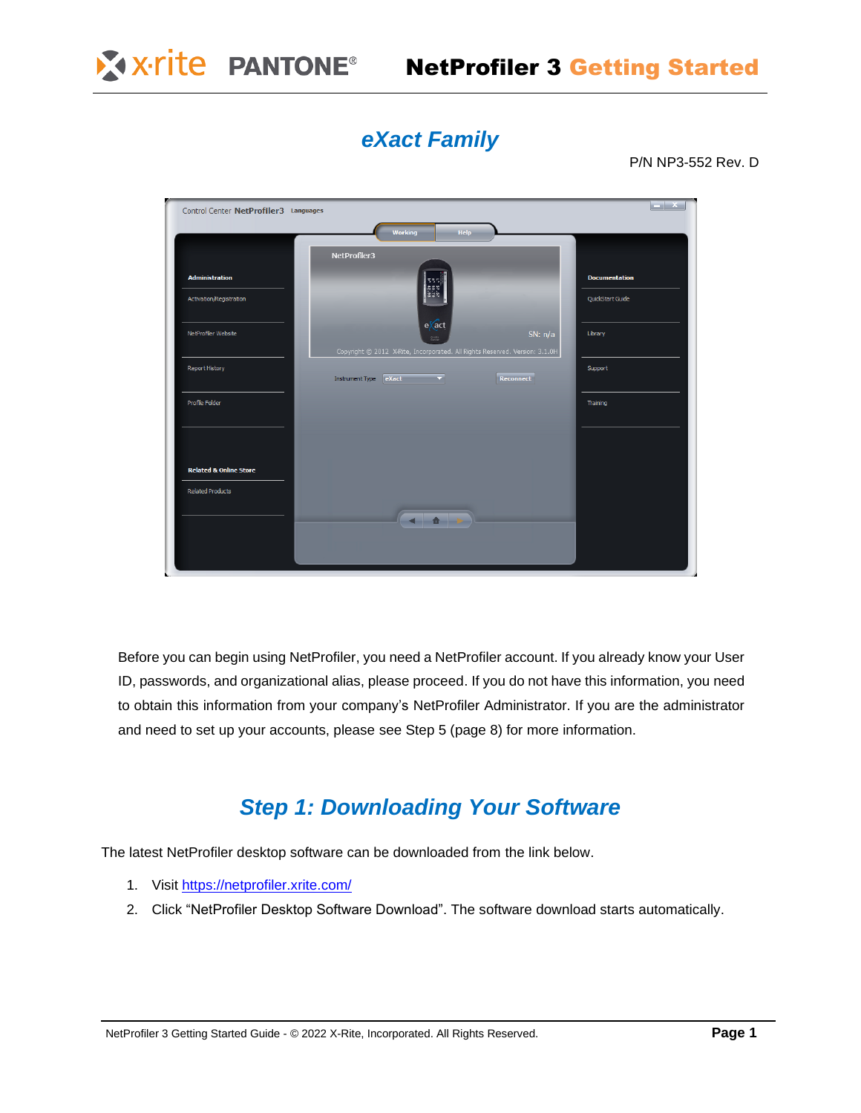

# NetProfiler 3 Getting Started

# *eXact Family*

P/N NP3-552 Rev. D

| Control Center NetProfiler3 Languages |                                                                                                                   | $-{\bf x}$           |
|---------------------------------------|-------------------------------------------------------------------------------------------------------------------|----------------------|
|                                       | Working<br>Help                                                                                                   |                      |
|                                       | NetProfiler3                                                                                                      |                      |
| <b>Administration</b>                 |                                                                                                                   | <b>Documentation</b> |
| Activation/Registration               |                                                                                                                   | QuickStart Guide     |
| NetProfiler Website                   | $e\sqrt{act}$<br>SN: $n/a$<br>Şerb<br>Copyright @ 2012 X-Rite, Incorporated. All Rights Reserved. Version: 3.1.0H | Library              |
| <b>Report History</b>                 | Reconnect<br>Instrument Type eXact<br>$\overline{\phantom{a}}$                                                    | Support              |
| Profile Folder                        |                                                                                                                   | Training             |
|                                       |                                                                                                                   |                      |
| <b>Related &amp; Online Store</b>     |                                                                                                                   |                      |
| <b>Related Products</b>               |                                                                                                                   |                      |
|                                       |                                                                                                                   |                      |
|                                       |                                                                                                                   |                      |
|                                       |                                                                                                                   |                      |

Before you can begin using NetProfiler, you need a NetProfiler account. If you already know your User ID, passwords, and organizational alias, please proceed. If you do not have this information, you need to obtain this information from your company's NetProfiler Administrator. If you are the administrator and need to set up your accounts, please see Step 5 (page 8) for more information.

## *Step 1: Downloading Your Software*

The latest NetProfiler desktop software can be downloaded from the link below.

- 1. Visit <https://netprofiler.xrite.com/>
- 2. Click "NetProfiler Desktop Software Download". The software download starts automatically.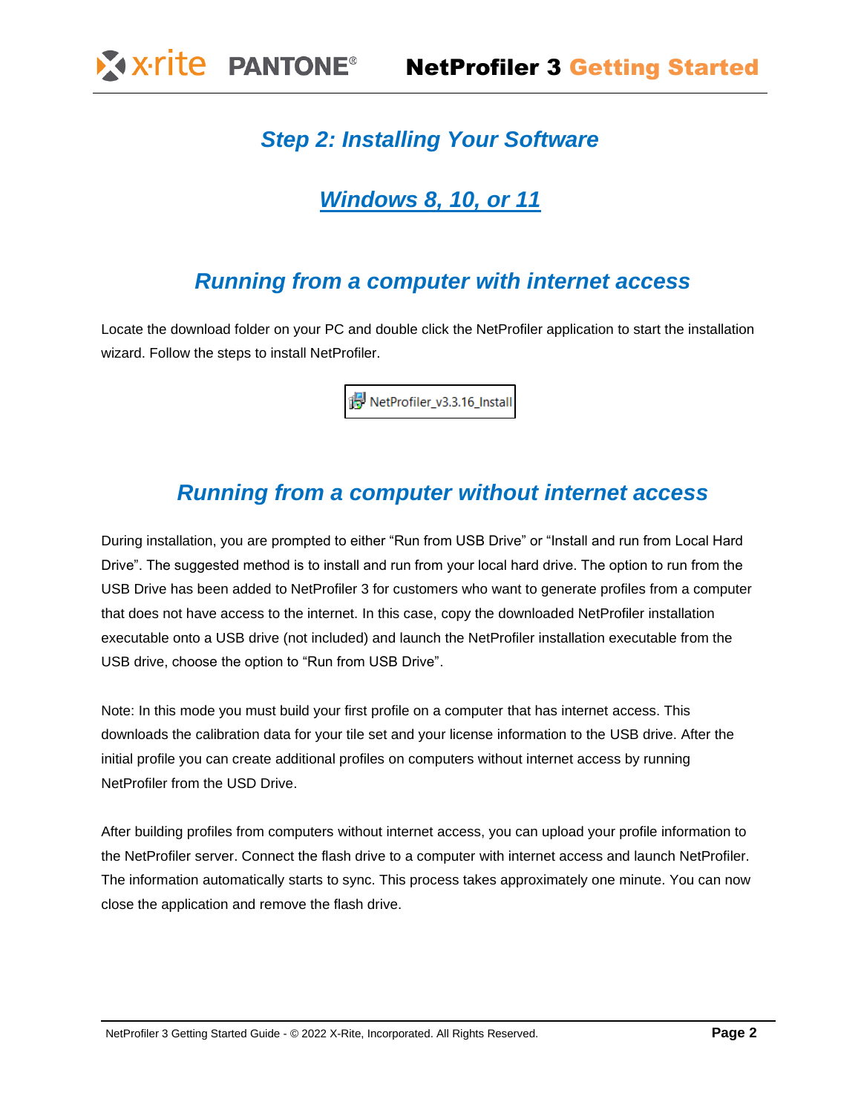# *Step 2: Installing Your Software*

## *Windows 8, 10, or 11*

## *Running from a computer with internet access*

Locate the download folder on your PC and double click the NetProfiler application to start the installation wizard. Follow the steps to install NetProfiler.

NetProfiler\_v3.3.16\_Install

## *Running from a computer without internet access*

During installation, you are prompted to either "Run from USB Drive" or "Install and run from Local Hard Drive". The suggested method is to install and run from your local hard drive. The option to run from the USB Drive has been added to NetProfiler 3 for customers who want to generate profiles from a computer that does not have access to the internet. In this case, copy the downloaded NetProfiler installation executable onto a USB drive (not included) and launch the NetProfiler installation executable from the USB drive, choose the option to "Run from USB Drive".

Note: In this mode you must build your first profile on a computer that has internet access. This downloads the calibration data for your tile set and your license information to the USB drive. After the initial profile you can create additional profiles on computers without internet access by running NetProfiler from the USD Drive.

After building profiles from computers without internet access, you can upload your profile information to the NetProfiler server. Connect the flash drive to a computer with internet access and launch NetProfiler. The information automatically starts to sync. This process takes approximately one minute. You can now close the application and remove the flash drive.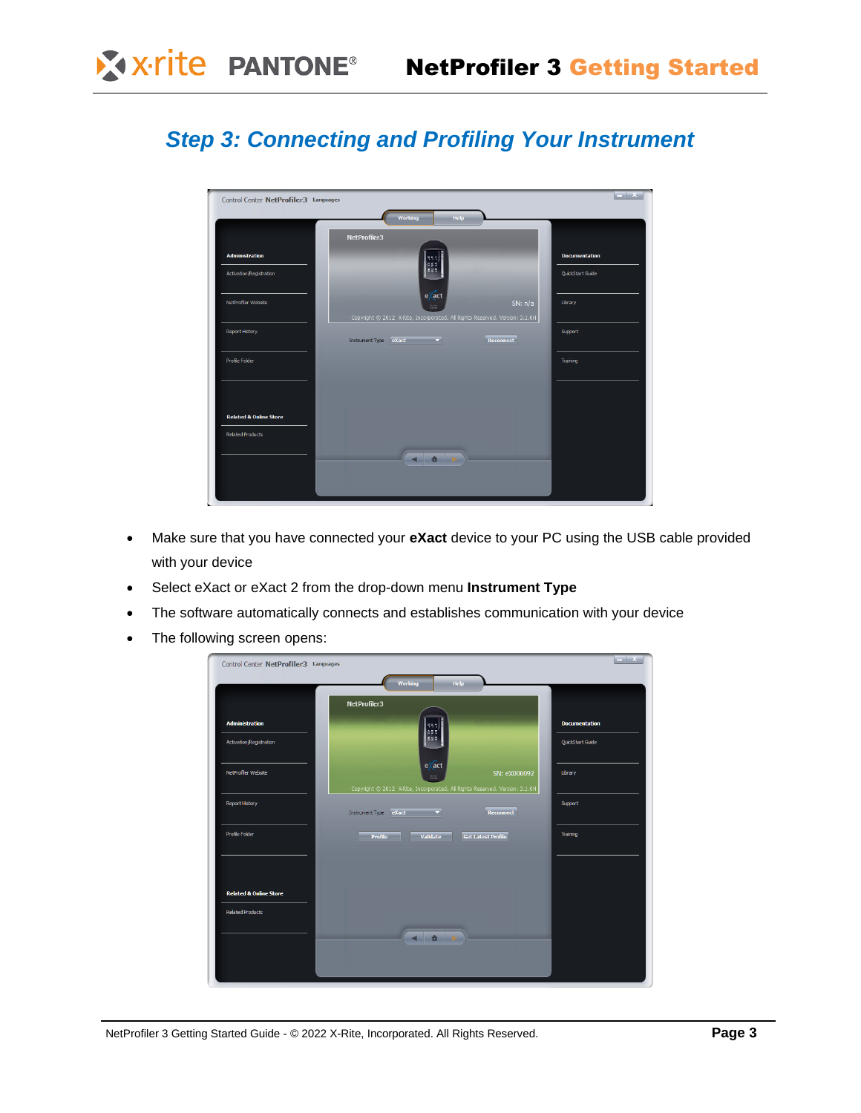# *Step 3: Connecting and Profiling Your Instrument*



- Make sure that you have connected your **eXact** device to your PC using the USB cable provided with your device
- Select eXact or eXact 2 from the drop-down menu **Instrument Type**
- The software automatically connects and establishes communication with your device
- The following screen opens:

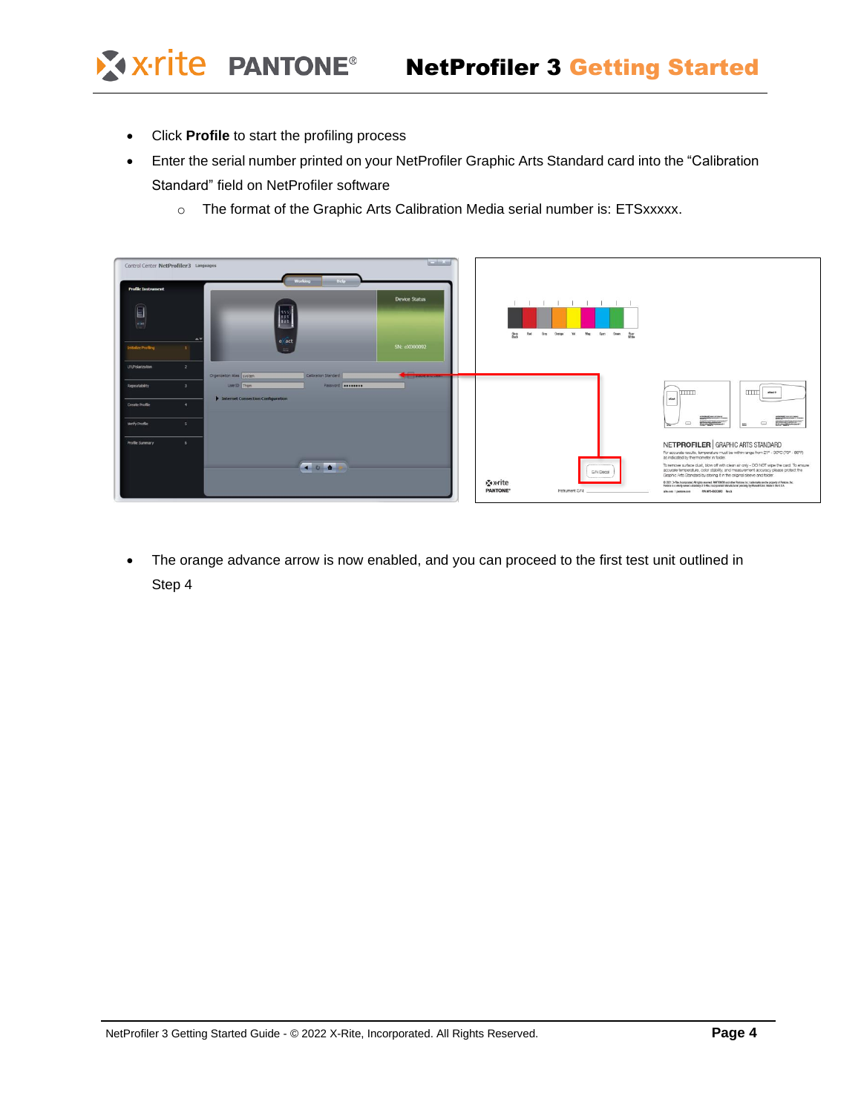X x-rite PANTONE®

- Click **Profile** to start the profiling process
- Enter the serial number printed on your NetProfiler Graphic Arts Standard card into the "Calibration Standard" field on NetProfiler software
	- o The format of the Graphic Arts Calibration Media serial number is: ETSxxxxx.



• The orange advance arrow is now enabled, and you can proceed to the first test unit outlined in Step 4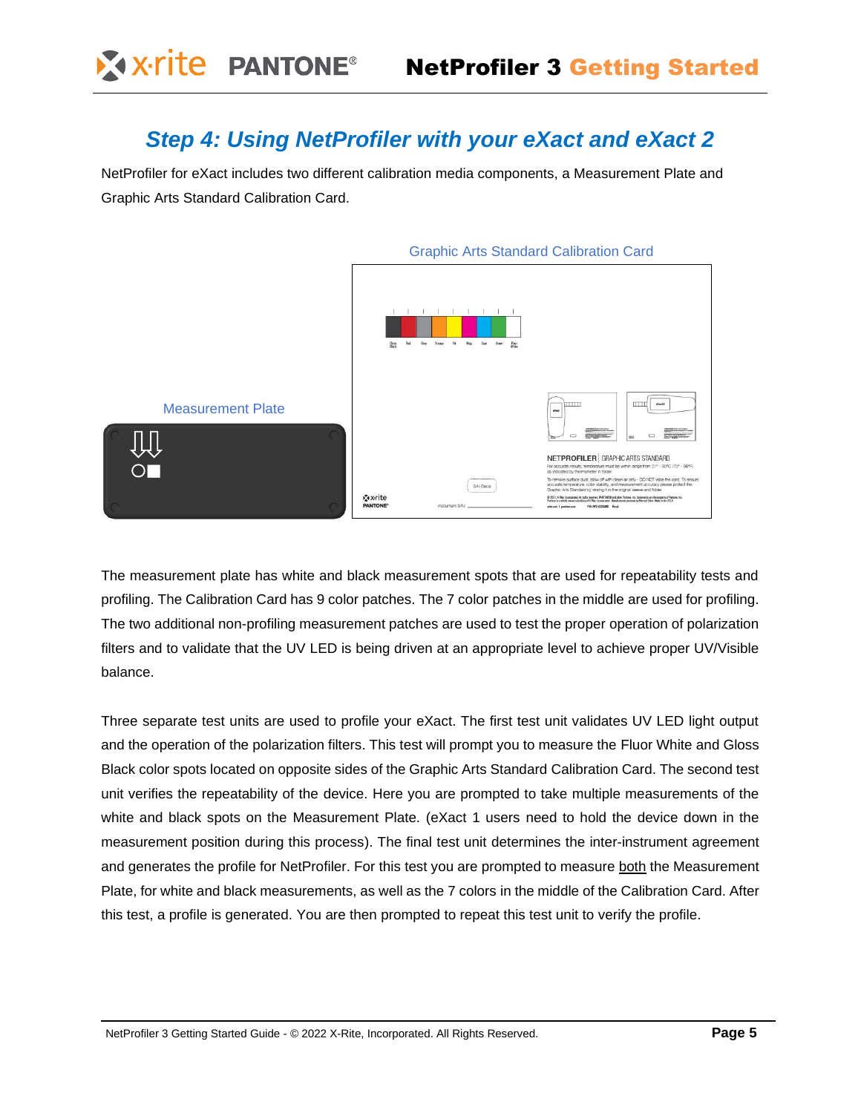### *Step 4: Using NetProfiler with your eXact and eXact 2*

NetProfiler for eXact includes two different calibration media components, a Measurement Plate and Graphic Arts Standard Calibration Card.



The measurement plate has white and black measurement spots that are used for repeatability tests and profiling. The Calibration Card has 9 color patches. The 7 color patches in the middle are used for profiling. The two additional non-profiling measurement patches are used to test the proper operation of polarization filters and to validate that the UV LED is being driven at an appropriate level to achieve proper UV/Visible balance.

Three separate test units are used to profile your eXact. The first test unit validates UV LED light output and the operation of the polarization filters. This test will prompt you to measure the Fluor White and Gloss Black color spots located on opposite sides of the Graphic Arts Standard Calibration Card. The second test unit verifies the repeatability of the device. Here you are prompted to take multiple measurements of the white and black spots on the Measurement Plate. (eXact 1 users need to hold the device down in the measurement position during this process). The final test unit determines the inter-instrument agreement and generates the profile for NetProfiler. For this test you are prompted to measure both the Measurement Plate, for white and black measurements, as well as the 7 colors in the middle of the Calibration Card. After this test, a profile is generated. You are then prompted to repeat this test unit to verify the profile.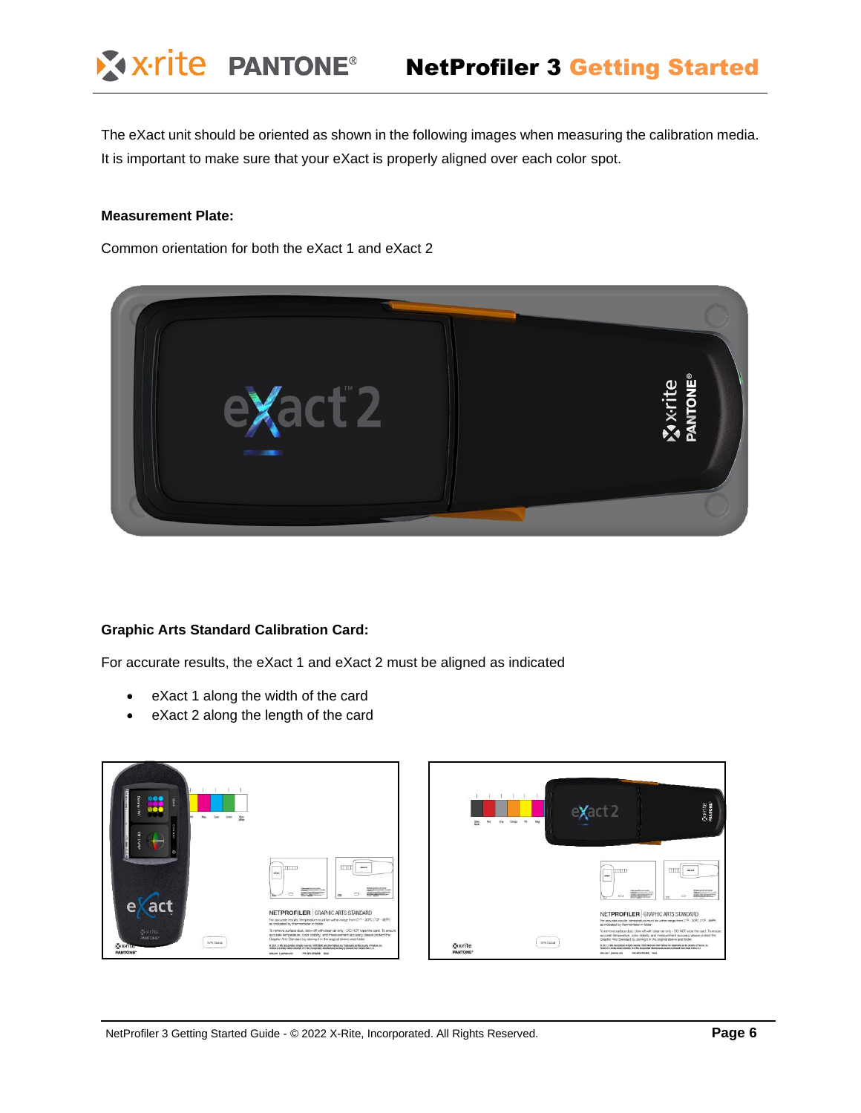The eXact unit should be oriented as shown in the following images when measuring the calibration media. It is important to make sure that your eXact is properly aligned over each color spot.

#### **Measurement Plate:**

Common orientation for both the eXact 1 and eXact 2



#### **Graphic Arts Standard Calibration Card:**

For accurate results, the eXact 1 and eXact 2 must be aligned as indicated

- eXact 1 along the width of the card
- eXact 2 along the length of the card

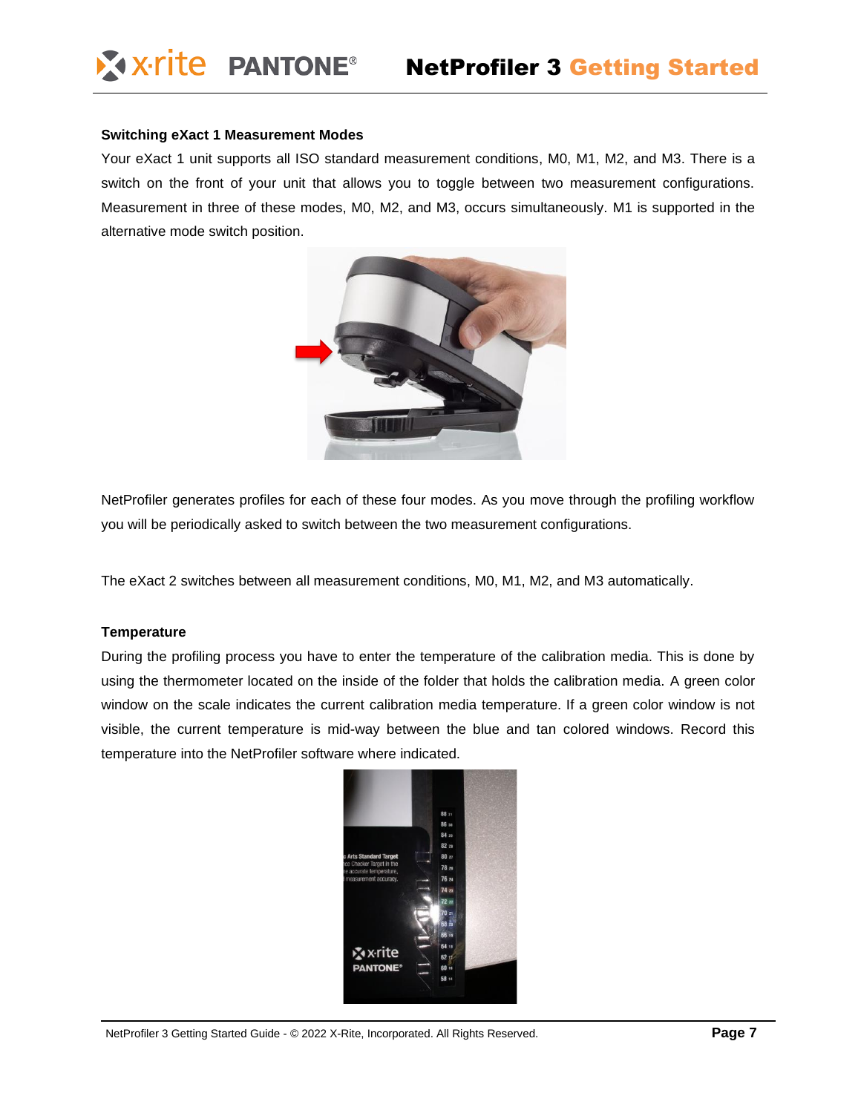#### **Switching eXact 1 Measurement Modes**

Your eXact 1 unit supports all ISO standard measurement conditions, M0, M1, M2, and M3. There is a switch on the front of your unit that allows you to toggle between two measurement configurations. Measurement in three of these modes, M0, M2, and M3, occurs simultaneously. M1 is supported in the alternative mode switch position.



NetProfiler generates profiles for each of these four modes. As you move through the profiling workflow you will be periodically asked to switch between the two measurement configurations.

The eXact 2 switches between all measurement conditions, M0, M1, M2, and M3 automatically.

### **Temperature**

During the profiling process you have to enter the temperature of the calibration media. This is done by using the thermometer located on the inside of the folder that holds the calibration media. A green color window on the scale indicates the current calibration media temperature. If a green color window is not visible, the current temperature is mid-way between the blue and tan colored windows. Record this temperature into the NetProfiler software where indicated.

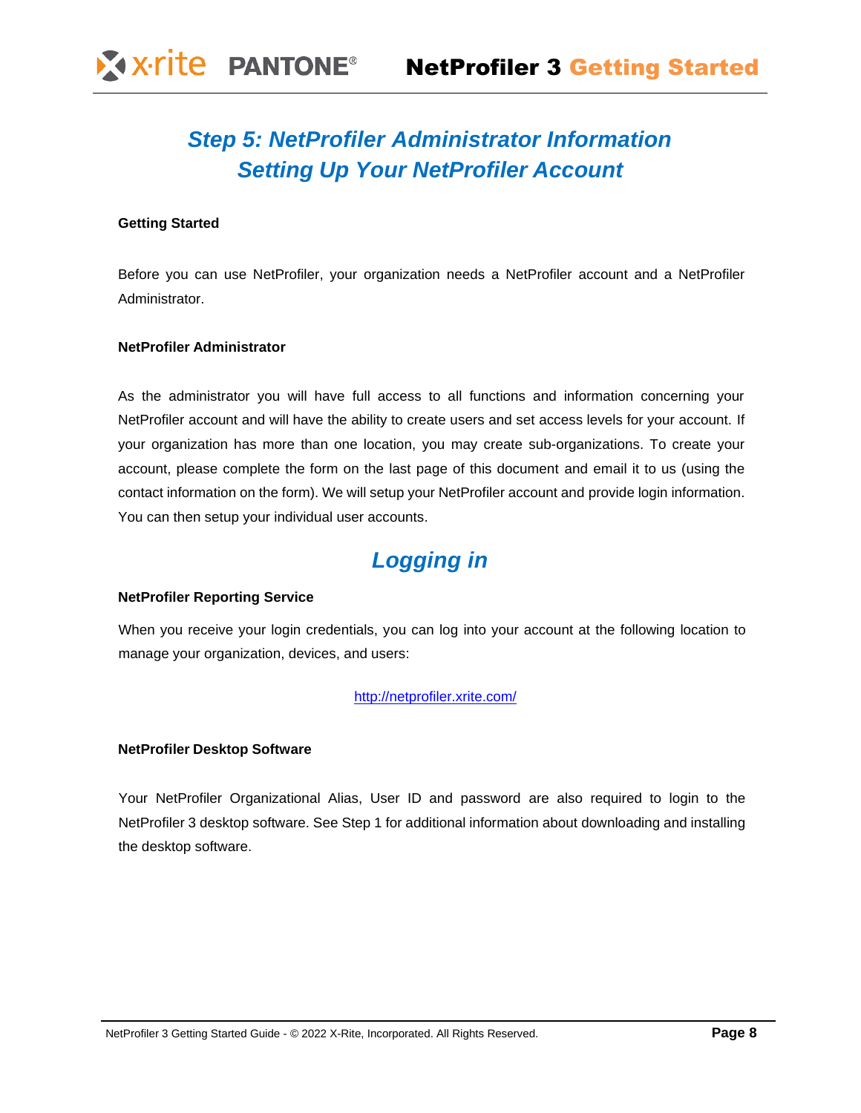# *Step 5: NetProfiler Administrator Information Setting Up Your NetProfiler Account*

### **Getting Started**

Before you can use NetProfiler, your organization needs a NetProfiler account and a NetProfiler Administrator.

### **NetProfiler Administrator**

As the administrator you will have full access to all functions and information concerning your NetProfiler account and will have the ability to create users and set access levels for your account. If your organization has more than one location, you may create sub-organizations. To create your account, please complete the form on the last page of this document and email it to us (using the contact information on the form). We will setup your NetProfiler account and provide login information. You can then setup your individual user accounts.

# *Logging in*

### **NetProfiler Reporting Service**

When you receive your login credentials, you can log into your account at the following location to manage your organization, devices, and users:

### <http://netprofiler.xrite.com/>

### **NetProfiler Desktop Software**

Your NetProfiler Organizational Alias, User ID and password are also required to login to the NetProfiler 3 desktop software. See Step 1 for additional information about downloading and installing the desktop software.